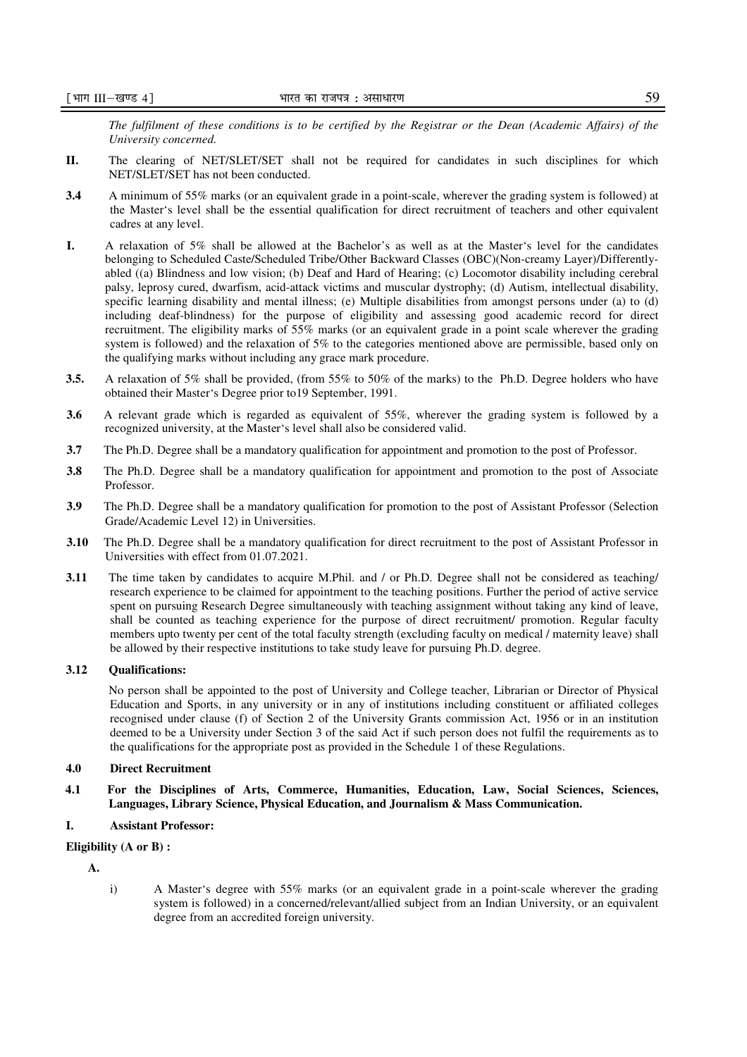*The fulfilment of these conditions is to be certified by the Registrar or the Dean (Academic Affairs) of the University concerned.* 

- **II.** The clearing of NET/SLET/SET shall not be required for candidates in such disciplines for which NET/SLET/SET has not been conducted.
- **3.4** A minimum of 55% marks (or an equivalent grade in a point-scale, wherever the grading system is followed) at the Master's level shall be the essential qualification for direct recruitment of teachers and other equivalent cadres at any level.
- **I.** A relaxation of 5% shall be allowed at the Bachelor's as well as at the Master's level for the candidates belonging to Scheduled Caste/Scheduled Tribe/Other Backward Classes (OBC)(Non-creamy Layer)/Differentlyabled ((a) Blindness and low vision; (b) Deaf and Hard of Hearing; (c) Locomotor disability including cerebral palsy, leprosy cured, dwarfism, acid-attack victims and muscular dystrophy; (d) Autism, intellectual disability, specific learning disability and mental illness; (e) Multiple disabilities from amongst persons under (a) to (d) including deaf-blindness) for the purpose of eligibility and assessing good academic record for direct recruitment. The eligibility marks of 55% marks (or an equivalent grade in a point scale wherever the grading system is followed) and the relaxation of 5% to the categories mentioned above are permissible, based only on the qualifying marks without including any grace mark procedure.
- **3.5.** A relaxation of 5% shall be provided, (from 55% to 50% of the marks) to the Ph.D. Degree holders who have obtained their Master's Degree prior to19 September, 1991.
- **3.6** A relevant grade which is regarded as equivalent of 55%, wherever the grading system is followed by a recognized university, at the Master's level shall also be considered valid.
- **3.7** The Ph.D. Degree shall be a mandatory qualification for appointment and promotion to the post of Professor.
- **3.8** The Ph.D. Degree shall be a mandatory qualification for appointment and promotion to the post of Associate Professor.
- **3.9** The Ph.D. Degree shall be a mandatory qualification for promotion to the post of Assistant Professor (Selection Grade/Academic Level 12) in Universities.
- **3.10** The Ph.D. Degree shall be a mandatory qualification for direct recruitment to the post of Assistant Professor in Universities with effect from 01.07.2021.
- **3.11** The time taken by candidates to acquire M.Phil. and / or Ph.D. Degree shall not be considered as teaching/ research experience to be claimed for appointment to the teaching positions. Further the period of active service spent on pursuing Research Degree simultaneously with teaching assignment without taking any kind of leave, shall be counted as teaching experience for the purpose of direct recruitment/ promotion. Regular faculty members upto twenty per cent of the total faculty strength (excluding faculty on medical / maternity leave) shall be allowed by their respective institutions to take study leave for pursuing Ph.D. degree.

# **3.12 Qualifications:**

 No person shall be appointed to the post of University and College teacher, Librarian or Director of Physical Education and Sports, in any university or in any of institutions including constituent or affiliated colleges recognised under clause (f) of Section 2 of the University Grants commission Act, 1956 or in an institution deemed to be a University under Section 3 of the said Act if such person does not fulfil the requirements as to the qualifications for the appropriate post as provided in the Schedule 1 of these Regulations.

### **4.0 Direct Recruitment**

**4.1 For the Disciplines of Arts, Commerce, Humanities, Education, Law, Social Sciences, Sciences, Languages, Library Science, Physical Education, and Journalism & Mass Communication.** 

### **I. Assistant Professor:**

### **Eligibility (A or B) :**

**A.** 

i) A Master's degree with 55% marks (or an equivalent grade in a point-scale wherever the grading system is followed) in a concerned/relevant/allied subject from an Indian University, or an equivalent degree from an accredited foreign university.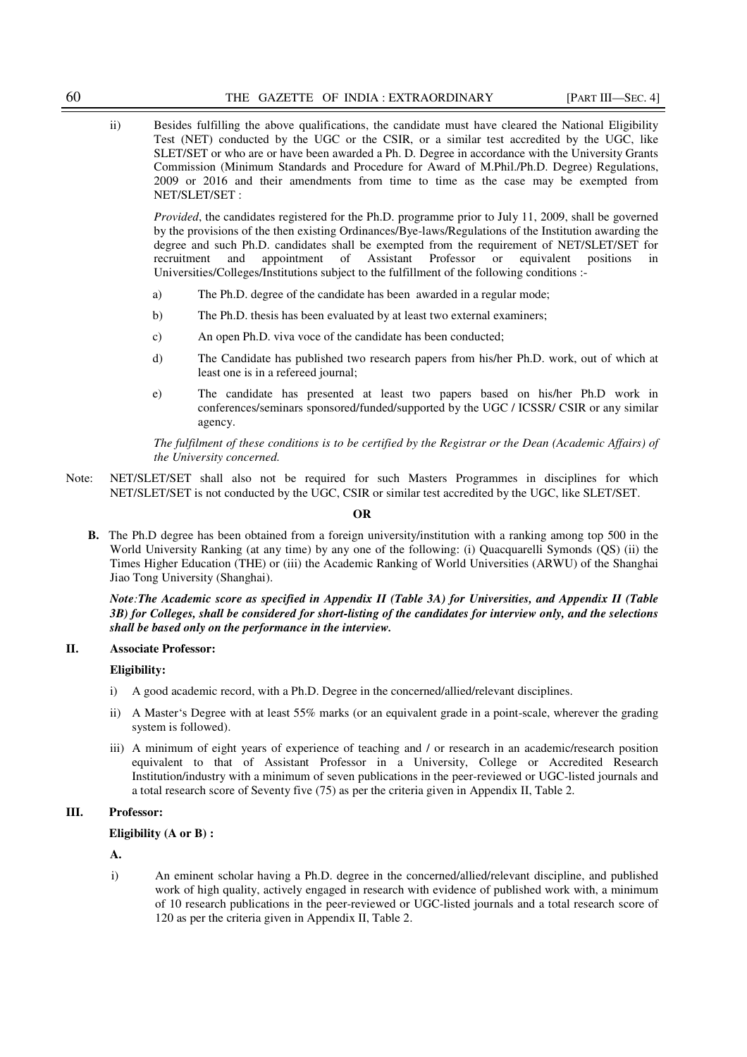ii) Besides fulfilling the above qualifications, the candidate must have cleared the National Eligibility Test (NET) conducted by the UGC or the CSIR, or a similar test accredited by the UGC, like SLET/SET or who are or have been awarded a Ph. D*.* Degree in accordance with the University Grants Commission (Minimum Standards and Procedure for Award of M.Phil./Ph.D. Degree) Regulations, 2009 or 2016 and their amendments from time to time as the case may be exempted from NET/SLET/SET :

*Provided*, the candidates registered for the Ph.D. programme prior to July 11, 2009, shall be governed by the provisions of the then existing Ordinances/Bye-laws/Regulations of the Institution awarding the degree and such Ph.D. candidates shall be exempted from the requirement of NET/SLET/SET for recruitment and appointment of Assistant Professor or equivalent positions in Universities/Colleges/Institutions subject to the fulfillment of the following conditions :-

- a) The Ph.D. degree of the candidate has been awarded in a regular mode;
- b) The Ph.D. thesis has been evaluated by at least two external examiners;
- c) An open Ph.D. viva voce of the candidate has been conducted;
- d) The Candidate has published two research papers from his/her Ph.D. work, out of which at least one is in a refereed journal;
- e) The candidate has presented at least two papers based on his/her Ph.D work in conferences/seminars sponsored/funded/supported by the UGC / ICSSR/ CSIR or any similar agency.

*The fulfilment of these conditions is to be certified by the Registrar or the Dean (Academic Affairs) of the University concerned.* 

Note: NET/SLET/SET shall also not be required for such Masters Programmes in disciplines for which NET/SLET/SET is not conducted by the UGC, CSIR or similar test accredited by the UGC, like SLET/SET.

#### **OR**

**B.** The Ph.D degree has been obtained from a foreign university/institution with a ranking among top 500 in the World University Ranking (at any time) by any one of the following: (i) Quacquarelli Symonds (QS) (ii) the Times Higher Education (THE) or (iii) the Academic Ranking of World Universities (ARWU) of the Shanghai Jiao Tong University (Shanghai).

*Note:The Academic score as specified in Appendix II (Table 3A) for Universities, and Appendix II (Table 3B) for Colleges, shall be considered for short-listing of the candidates for interview only, and the selections shall be based only on the performance in the interview.* 

### **II. Associate Professor:**

### **Eligibility:**

- i) A good academic record, with a Ph.D. Degree in the concerned/allied/relevant disciplines.
- ii) A Master's Degree with at least 55% marks (or an equivalent grade in a point-scale, wherever the grading system is followed).
- iii) A minimum of eight years of experience of teaching and / or research in an academic/research position equivalent to that of Assistant Professor in a University, College or Accredited Research Institution/industry with a minimum of seven publications in the peer-reviewed or UGC-listed journals and a total research score of Seventy five (75) as per the criteria given in Appendix II, Table 2.

## **III. Professor:**

**Eligibility (A or B) :** 

**A.**

i) An eminent scholar having a Ph.D. degree in the concerned/allied/relevant discipline, and published work of high quality, actively engaged in research with evidence of published work with, a minimum of 10 research publications in the peer-reviewed or UGC-listed journals and a total research score of 120 as per the criteria given in Appendix II, Table 2.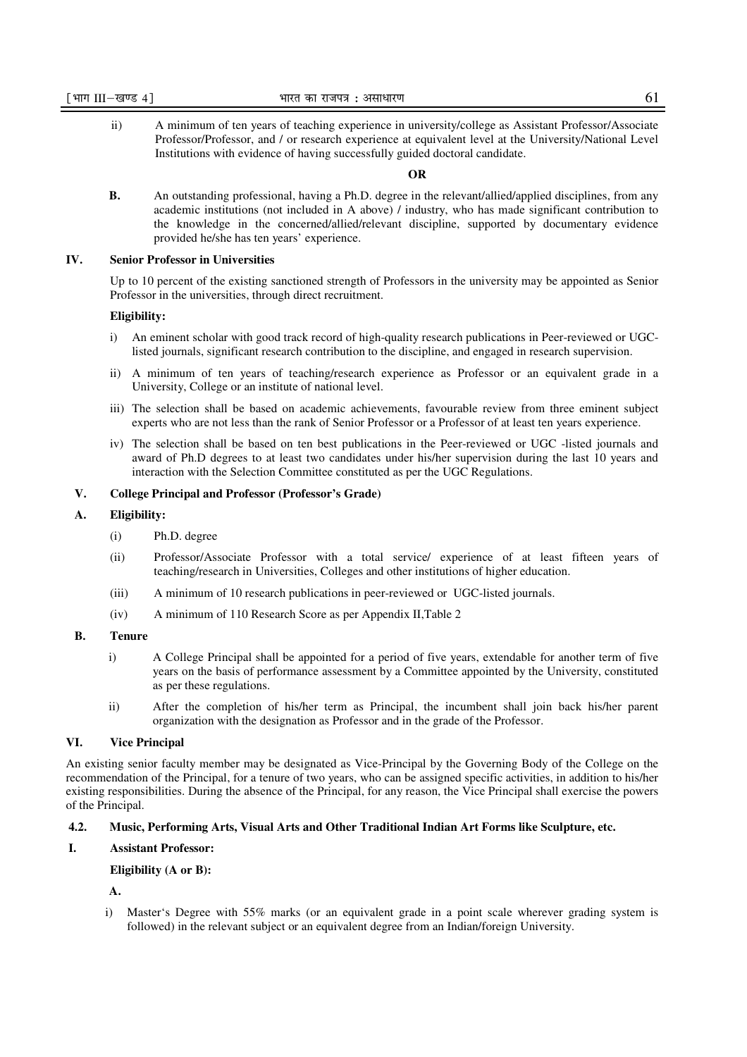ii) A minimum of ten years of teaching experience in university/college as Assistant Professor/Associate Professor/Professor, and / or research experience at equivalent level at the University/National Level Institutions with evidence of having successfully guided doctoral candidate.

## **OR**

**B.** An outstanding professional, having a Ph.D. degree in the relevant/allied/applied disciplines, from any academic institutions (not included in A above) / industry, who has made significant contribution to the knowledge in the concerned/allied/relevant discipline, supported by documentary evidence provided he/she has ten years' experience.

# **IV. Senior Professor in Universities**

Up to 10 percent of the existing sanctioned strength of Professors in the university may be appointed as Senior Professor in the universities, through direct recruitment.

#### **Eligibility:**

- i) An eminent scholar with good track record of high-quality research publications in Peer-reviewed or UGClisted journals, significant research contribution to the discipline, and engaged in research supervision.
- ii) A minimum of ten years of teaching/research experience as Professor or an equivalent grade in a University, College or an institute of national level.
- iii) The selection shall be based on academic achievements, favourable review from three eminent subject experts who are not less than the rank of Senior Professor or a Professor of at least ten years experience.
- iv) The selection shall be based on ten best publications in the Peer-reviewed or UGC -listed journals and award of Ph.D degrees to at least two candidates under his/her supervision during the last 10 years and interaction with the Selection Committee constituted as per the UGC Regulations.

## **V. College Principal and Professor (Professor's Grade)**

## **A. Eligibility:**

- (i) Ph.D. degree
- (ii) Professor/Associate Professor with a total service/ experience of at least fifteen years of teaching/research in Universities, Colleges and other institutions of higher education.
- (iii) A minimum of 10 research publications in peer-reviewed or UGC-listed journals.
- (iv) A minimum of 110 Research Score as per Appendix II,Table 2

#### **B. Tenure**

- i) A College Principal shall be appointed for a period of five years, extendable for another term of five years on the basis of performance assessment by a Committee appointed by the University, constituted as per these regulations.
- ii) After the completion of his/her term as Principal, the incumbent shall join back his/her parent organization with the designation as Professor and in the grade of the Professor.

## **VI. Vice Principal**

An existing senior faculty member may be designated as Vice-Principal by the Governing Body of the College on the recommendation of the Principal, for a tenure of two years, who can be assigned specific activities, in addition to his/her existing responsibilities. During the absence of the Principal, for any reason, the Vice Principal shall exercise the powers of the Principal.

#### **4.2. Music, Performing Arts, Visual Arts and Other Traditional Indian Art Forms like Sculpture, etc.**

#### **I. Assistant Professor:**

**Eligibility (A or B):** 

**A.** 

i) Master's Degree with 55% marks (or an equivalent grade in a point scale wherever grading system is followed) in the relevant subject or an equivalent degree from an Indian/foreign University.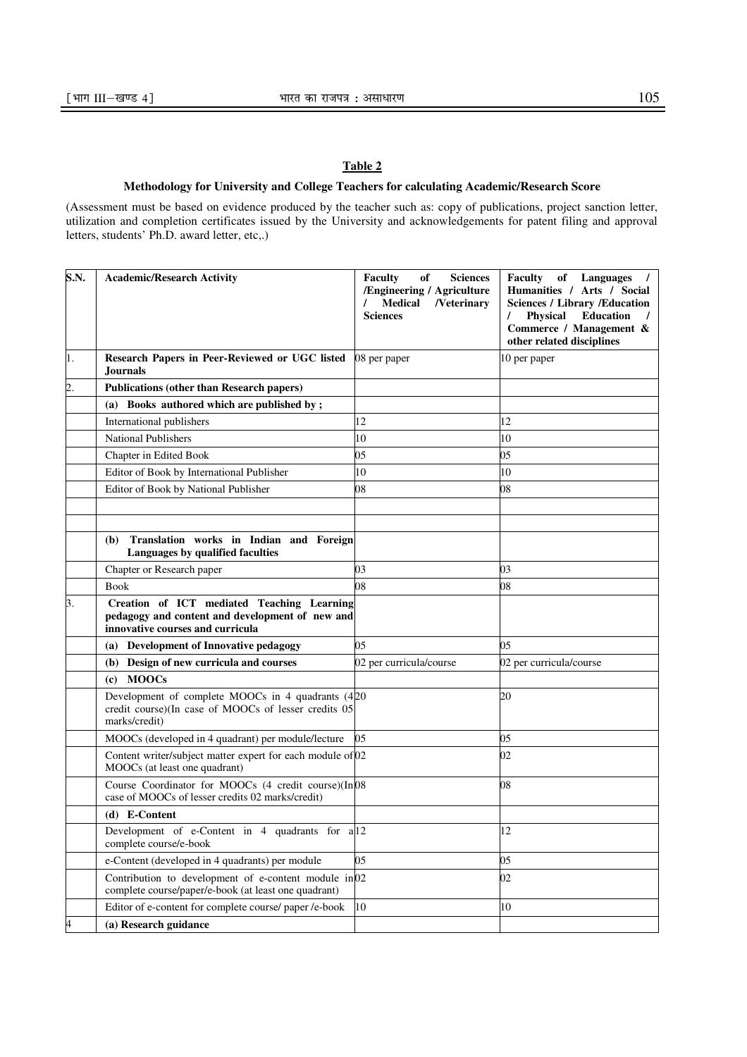# **Table 2**

# **Methodology for University and College Teachers for calculating Academic/Research Score**

(Assessment must be based on evidence produced by the teacher such as: copy of publications, project sanction letter, utilization and completion certificates issued by the University and acknowledgements for patent filing and approval letters, students' Ph.D. award letter, etc,.)

| S.N.             | <b>Academic/Research Activity</b>                                                                                                 | <b>Faculty</b><br>of<br><b>Sciences</b><br>/Engineering / Agriculture<br>Medical<br><b>/Veterinary</b><br><b>Sciences</b> | <b>Faculty</b><br>of Languages<br>Humanities / Arts / Social<br><b>Sciences / Library / Education</b><br><b>Education</b><br><b>Physical</b><br>L<br>Commerce / Management &<br>other related disciplines |
|------------------|-----------------------------------------------------------------------------------------------------------------------------------|---------------------------------------------------------------------------------------------------------------------------|-----------------------------------------------------------------------------------------------------------------------------------------------------------------------------------------------------------|
| 1.               | Research Papers in Peer-Reviewed or UGC listed<br><b>Journals</b>                                                                 | 08 per paper                                                                                                              | 10 per paper                                                                                                                                                                                              |
| $\overline{2}$ . | <b>Publications (other than Research papers)</b>                                                                                  |                                                                                                                           |                                                                                                                                                                                                           |
|                  | (a) Books authored which are published by;                                                                                        |                                                                                                                           |                                                                                                                                                                                                           |
|                  | International publishers                                                                                                          | 12                                                                                                                        | 12                                                                                                                                                                                                        |
|                  | <b>National Publishers</b>                                                                                                        | 10                                                                                                                        | 10                                                                                                                                                                                                        |
|                  | Chapter in Edited Book                                                                                                            | 05                                                                                                                        | 05                                                                                                                                                                                                        |
|                  | Editor of Book by International Publisher                                                                                         | 10                                                                                                                        | 10                                                                                                                                                                                                        |
|                  | Editor of Book by National Publisher                                                                                              | 08                                                                                                                        | 08                                                                                                                                                                                                        |
|                  |                                                                                                                                   |                                                                                                                           |                                                                                                                                                                                                           |
|                  |                                                                                                                                   |                                                                                                                           |                                                                                                                                                                                                           |
|                  | Translation works in Indian and Foreign<br>(b)<br>Languages by qualified faculties                                                |                                                                                                                           |                                                                                                                                                                                                           |
|                  | Chapter or Research paper                                                                                                         | 03                                                                                                                        | 03                                                                                                                                                                                                        |
|                  | <b>Book</b>                                                                                                                       | 08                                                                                                                        | 08                                                                                                                                                                                                        |
| 3.               | Creation of ICT mediated Teaching Learning<br>pedagogy and content and development of new and<br>innovative courses and curricula |                                                                                                                           |                                                                                                                                                                                                           |
|                  | Development of Innovative pedagogy<br>(a)                                                                                         | 05                                                                                                                        | 05                                                                                                                                                                                                        |
|                  | Design of new curricula and courses<br>(b)                                                                                        | 02 per curricula/course                                                                                                   | 02 per curricula/course                                                                                                                                                                                   |
|                  | <b>MOOCs</b><br>(c)                                                                                                               |                                                                                                                           |                                                                                                                                                                                                           |
|                  | Development of complete MOOCs in 4 quadrants (420)<br>credit course)(In case of MOOCs of lesser credits 05<br>marks/credit)       |                                                                                                                           | 20                                                                                                                                                                                                        |
|                  | MOOCs (developed in 4 quadrant) per module/lecture                                                                                | 05                                                                                                                        | 05                                                                                                                                                                                                        |
|                  | Content writer/subject matter expert for each module of 02<br>MOOCs (at least one quadrant)                                       |                                                                                                                           | 02                                                                                                                                                                                                        |
|                  | Course Coordinator for MOOCs (4 credit course)(In 08<br>case of MOOCs of lesser credits 02 marks/credit)                          |                                                                                                                           | 08                                                                                                                                                                                                        |
|                  | (d) E-Content                                                                                                                     |                                                                                                                           |                                                                                                                                                                                                           |
|                  | Development of e-Content in 4 quadrants for a 12<br>complete course/e-book                                                        |                                                                                                                           | 12                                                                                                                                                                                                        |
|                  | e-Content (developed in 4 quadrants) per module                                                                                   | 05                                                                                                                        | 05                                                                                                                                                                                                        |
|                  | Contribution to development of e-content module $in \ 02$<br>complete course/paper/e-book (at least one quadrant)                 |                                                                                                                           | 02                                                                                                                                                                                                        |
|                  | Editor of e-content for complete course/ paper /e-book                                                                            | 10                                                                                                                        | 10                                                                                                                                                                                                        |
|                  | (a) Research guidance                                                                                                             |                                                                                                                           |                                                                                                                                                                                                           |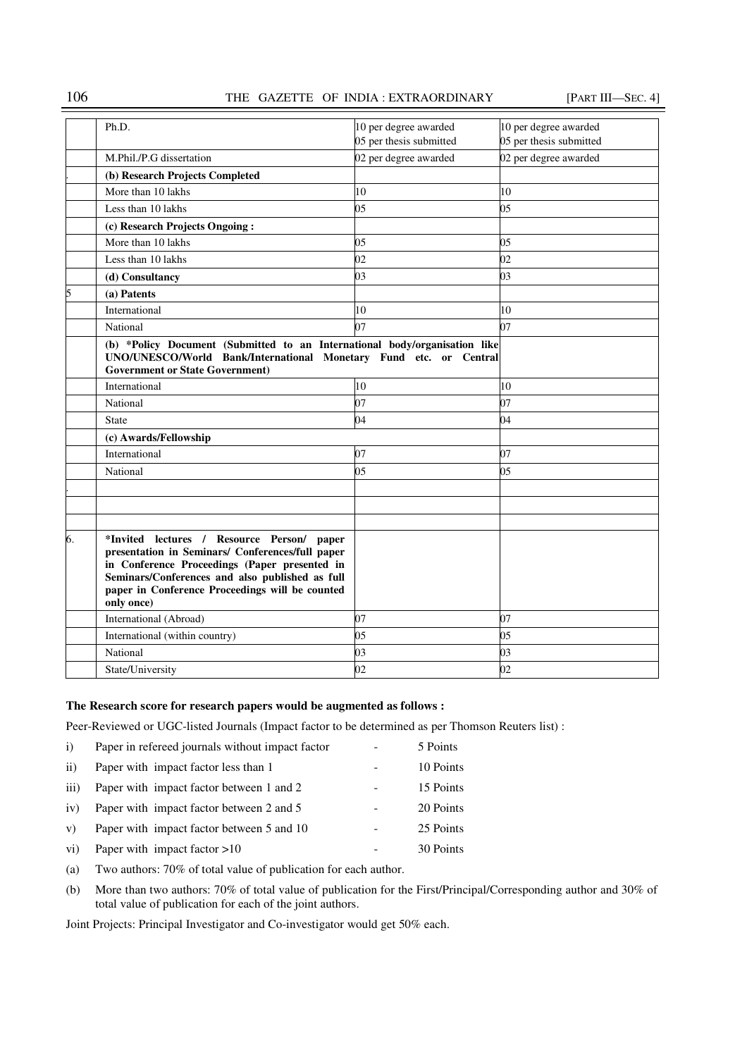# 106 THE GAZETTE OF INDIA : EXTRAORDINARY [PART III—SEC. 4]

|    | Ph.D.                                                                                                                                                                                                                                                               | 10 per degree awarded   | 10 per degree awarded   |
|----|---------------------------------------------------------------------------------------------------------------------------------------------------------------------------------------------------------------------------------------------------------------------|-------------------------|-------------------------|
|    |                                                                                                                                                                                                                                                                     | 05 per thesis submitted | 05 per thesis submitted |
|    | M.Phil./P.G dissertation                                                                                                                                                                                                                                            | 02 per degree awarded   | 02 per degree awarded   |
|    | (b) Research Projects Completed                                                                                                                                                                                                                                     |                         |                         |
|    | More than 10 lakhs                                                                                                                                                                                                                                                  | 10                      | 10                      |
|    | Less than 10 lakhs                                                                                                                                                                                                                                                  | 05                      | 05                      |
|    | (c) Research Projects Ongoing:                                                                                                                                                                                                                                      |                         |                         |
|    | More than 10 lakhs                                                                                                                                                                                                                                                  | 05                      | 05                      |
|    | Less than 10 lakhs                                                                                                                                                                                                                                                  | 02                      | 02                      |
|    |                                                                                                                                                                                                                                                                     |                         |                         |
|    | (d) Consultancy                                                                                                                                                                                                                                                     | 03                      | 03                      |
| 5  | (a) Patents                                                                                                                                                                                                                                                         |                         |                         |
|    | International                                                                                                                                                                                                                                                       | 10                      | 10                      |
|    | National                                                                                                                                                                                                                                                            | 07                      | 07                      |
|    | (b) *Policy Document (Submitted to an International body/organisation like<br>UNO/UNESCO/World Bank/International Monetary Fund etc. or Central<br><b>Government or State Government</b> )                                                                          |                         |                         |
|    | International                                                                                                                                                                                                                                                       | 10                      | 10                      |
|    | National                                                                                                                                                                                                                                                            | 07                      | 07                      |
|    | <b>State</b>                                                                                                                                                                                                                                                        | 04                      | 04                      |
|    | (c) Awards/Fellowship                                                                                                                                                                                                                                               |                         |                         |
|    | International                                                                                                                                                                                                                                                       | 07                      | 07                      |
|    | National                                                                                                                                                                                                                                                            | 05                      | 05                      |
|    |                                                                                                                                                                                                                                                                     |                         |                         |
|    |                                                                                                                                                                                                                                                                     |                         |                         |
|    |                                                                                                                                                                                                                                                                     |                         |                         |
| 6. | *Invited lectures / Resource Person/ paper<br>presentation in Seminars/ Conferences/full paper<br>in Conference Proceedings (Paper presented in<br>Seminars/Conferences and also published as full<br>paper in Conference Proceedings will be counted<br>only once) |                         |                         |
|    | International (Abroad)                                                                                                                                                                                                                                              | 07                      | 07                      |
|    | International (within country)                                                                                                                                                                                                                                      | 0 <sub>5</sub>          | 05                      |
|    | National                                                                                                                                                                                                                                                            | 03                      | 03                      |
|    | State/University                                                                                                                                                                                                                                                    | 02                      | 02                      |

# **The Research score for research papers would be augmented as follows :**

Peer-Reviewed or UGC-listed Journals (Impact factor to be determined as per Thomson Reuters list) :

| $\mathbf{i}$    | Paper in refereed journals without impact factor | 5 Points  |
|-----------------|--------------------------------------------------|-----------|
| $\rm ii)$       | Paper with impact factor less than 1             | 10 Points |
| iii)            | Paper with impact factor between 1 and 2         | 15 Points |
| iv)             | Paper with impact factor between 2 and 5         | 20 Points |
| V)              | Paper with impact factor between 5 and 10        | 25 Points |
| $\overline{vi}$ | Paper with impact factor $>10$                   | 30 Points |
|                 |                                                  |           |

(a) Two authors: 70% of total value of publication for each author.

(b) More than two authors: 70% of total value of publication for the First/Principal/Corresponding author and 30% of total value of publication for each of the joint authors.

Joint Projects: Principal Investigator and Co-investigator would get 50% each.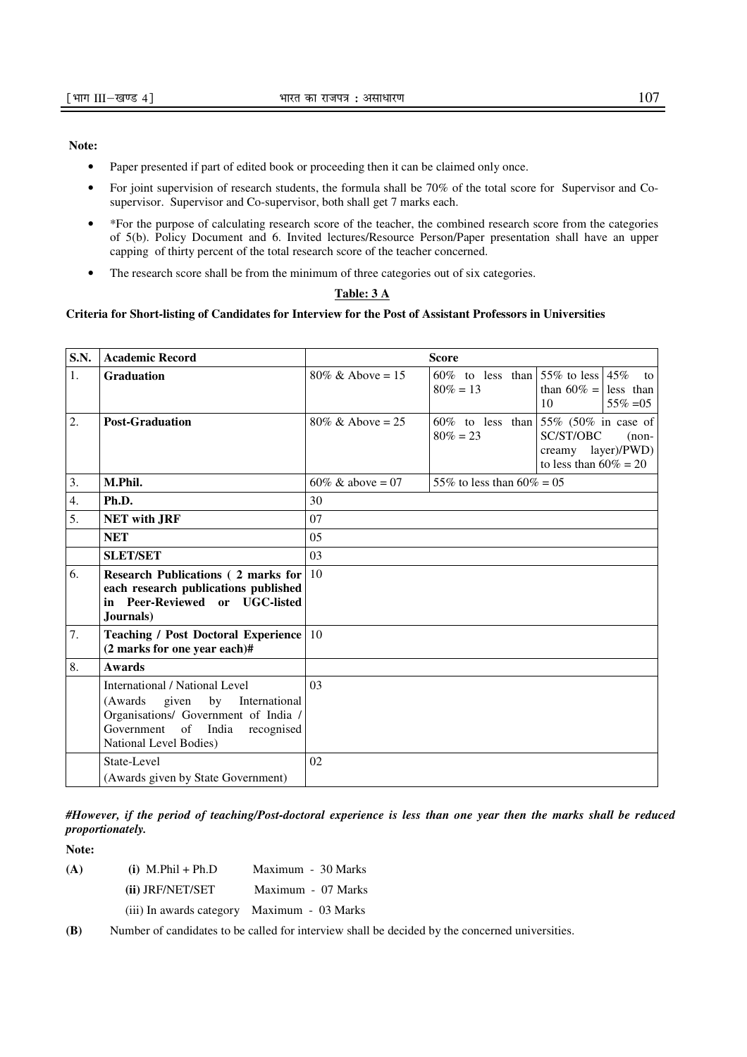## **Note:**

- Paper presented if part of edited book or proceeding then it can be claimed only once.
- For joint supervision of research students, the formula shall be 70% of the total score for Supervisor and Cosupervisor. Supervisor and Co-supervisor, both shall get 7 marks each.
- \*For the purpose of calculating research score of the teacher, the combined research score from the categories of 5(b). Policy Document and 6. Invited lectures/Resource Person/Paper presentation shall have an upper capping of thirty percent of the total research score of the teacher concerned.
- The research score shall be from the minimum of three categories out of six categories.

## **Table: 3 A**

## **Criteria for Short-listing of Candidates for Interview for the Post of Assistant Professors in Universities**

| <b>S.N.</b> | <b>Academic Record</b>                                                                                                                                                                     | <b>Score</b>                 |                                                    |                                                                                                                   |
|-------------|--------------------------------------------------------------------------------------------------------------------------------------------------------------------------------------------|------------------------------|----------------------------------------------------|-------------------------------------------------------------------------------------------------------------------|
| 1.          | <b>Graduation</b>                                                                                                                                                                          | $80\% \& \text{ Above} = 15$ | 60\% to less than 55\% to less 45\%<br>$80\% = 13$ | to<br>than $60\% =$ less than<br>10<br>$55\% = 05$                                                                |
| 2.          | <b>Post-Graduation</b>                                                                                                                                                                     | $80\% \& \text{ Above} = 25$ | $80\% = 23$                                        | 60% to less than $55\%$ (50% in case of<br>SC/ST/OBC<br>$(non-$<br>creamy layer)/PWD)<br>to less than $60\% = 20$ |
| 3.          | M.Phil.                                                                                                                                                                                    | 60\% & above = 07            | 55% to less than $60\% = 0.5$                      |                                                                                                                   |
| 4.          | Ph.D.                                                                                                                                                                                      | 30                           |                                                    |                                                                                                                   |
| 5.          | <b>NET with JRF</b>                                                                                                                                                                        | 07                           |                                                    |                                                                                                                   |
|             | <b>NET</b>                                                                                                                                                                                 | 05                           |                                                    |                                                                                                                   |
|             | <b>SLET/SET</b>                                                                                                                                                                            | 03                           |                                                    |                                                                                                                   |
| 6.          | <b>Research Publications (2 marks for</b><br>each research publications published<br>in Peer-Reviewed or UGC-listed<br>Journals)                                                           | 10                           |                                                    |                                                                                                                   |
| 7.          | <b>Teaching / Post Doctoral Experience</b><br>(2 marks for one year each)#                                                                                                                 | 10                           |                                                    |                                                                                                                   |
| 8.          | <b>Awards</b>                                                                                                                                                                              |                              |                                                    |                                                                                                                   |
|             | <b>International / National Level</b><br>given<br>by<br>International<br>(Awards<br>Organisations/ Government of India /<br>Government<br>of India<br>recognised<br>National Level Bodies) | 0 <sup>3</sup>               |                                                    |                                                                                                                   |
|             | State-Level<br>(Awards given by State Government)                                                                                                                                          | 02                           |                                                    |                                                                                                                   |

*#However, if the period of teaching/Post-doctoral experience is less than one year then the marks shall be reduced proportionately.* 

**Note:** 

**(A) (i)** M.Phil + Ph.D Maximum - 30 Marks  **(ii)** JRF/NET/SET Maximum - 07 Marks (iii) In awards category Maximum - 03 Marks

**(B)** Number of candidates to be called for interview shall be decided by the concerned universities.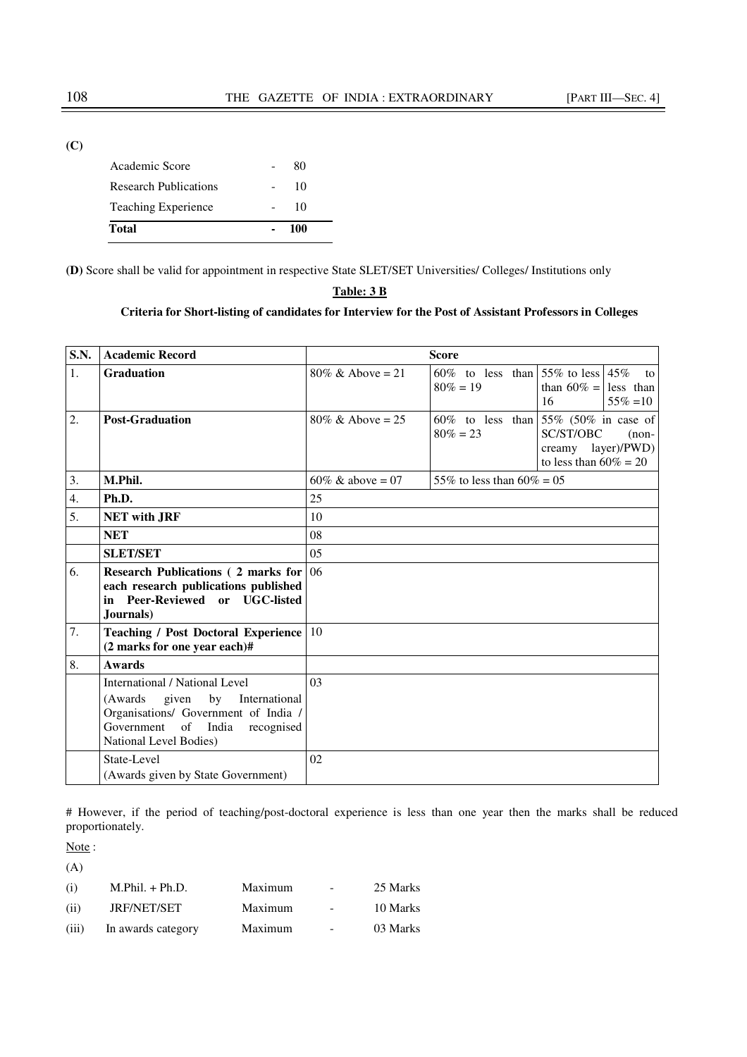**(C)**

| 100 |  |
|-----|--|
| 10  |  |
| 10  |  |
| 80  |  |
|     |  |

**(D)** Score shall be valid for appointment in respective State SLET/SET Universities/ Colleges/ Institutions only

| - |  |  |
|---|--|--|
|   |  |  |

# **Criteria for Short-listing of candidates for Interview for the Post of Assistant Professors in Colleges**

| <b>S.N.</b>    | <b>Academic Record</b>                                                                                                                                                                   | <b>Score</b>                 |                                                       |                                                                                                                     |
|----------------|------------------------------------------------------------------------------------------------------------------------------------------------------------------------------------------|------------------------------|-------------------------------------------------------|---------------------------------------------------------------------------------------------------------------------|
| $\mathbf{1}$ . | <b>Graduation</b>                                                                                                                                                                        | $80\% \&$ Above = 21         | 60% to less than $55\%$ to less $45\%$<br>$80\% = 19$ | to<br>than $60\% =$ less than<br>$55\% = 10$<br>16                                                                  |
| 2.             | <b>Post-Graduation</b>                                                                                                                                                                   | $80\% \& \text{ Above} = 25$ | $80\% = 23$                                           | 60% to less than $55\%$ (50% in case of<br>SC/ST/OBC<br>$(non-$<br>creamy $layer)/PWD)$<br>to less than $60\% = 20$ |
| 3.             | M.Phil.                                                                                                                                                                                  | 60\% & above = 07            | 55% to less than $60\% = 0.5$                         |                                                                                                                     |
| 4.             | Ph.D.                                                                                                                                                                                    | 25                           |                                                       |                                                                                                                     |
| 5.             | <b>NET with JRF</b>                                                                                                                                                                      | 10                           |                                                       |                                                                                                                     |
|                | <b>NET</b>                                                                                                                                                                               | 08                           |                                                       |                                                                                                                     |
|                | <b>SLET/SET</b>                                                                                                                                                                          | 0 <sub>5</sub>               |                                                       |                                                                                                                     |
| 6.             | <b>Research Publications (2 marks for</b><br>each research publications published<br>in Peer-Reviewed or UGC-listed<br>Journals)                                                         | 06                           |                                                       |                                                                                                                     |
| 7.             | <b>Teaching / Post Doctoral Experience</b> 10<br>(2 marks for one year each)#                                                                                                            |                              |                                                       |                                                                                                                     |
| 8.             | <b>Awards</b>                                                                                                                                                                            |                              |                                                       |                                                                                                                     |
|                | <b>International / National Level</b><br>(Awards)<br>given<br>by<br>International<br>Organisations/ Government of India /<br>Government of India<br>recognised<br>National Level Bodies) | 03                           |                                                       |                                                                                                                     |
|                | State-Level<br>(Awards given by State Government)                                                                                                                                        | 02                           |                                                       |                                                                                                                     |

# However, if the period of teaching/post-doctoral experience is less than one year then the marks shall be reduced proportionately.

Note:

| (A)   |                    |         |                          |          |
|-------|--------------------|---------|--------------------------|----------|
| (i)   | $M.Phil. + Ph.D.$  | Maximum | $\overline{\phantom{a}}$ | 25 Marks |
| (ii)  | <b>JRF/NET/SET</b> | Maximum |                          | 10 Marks |
| (iii) | In awards category | Maximum |                          | 03 Marks |